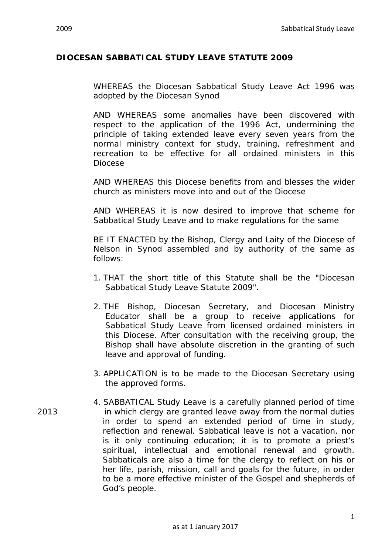## **DIOCESAN SABBATICAL STUDY LEAVE STATUTE 2009**

WHEREAS the Diocesan Sabbatical Study Leave Act 1996 was adopted by the Diocesan Synod

AND WHEREAS some anomalies have been discovered with respect to the application of the 1996 Act, undermining the principle of taking extended leave every seven years from the normal ministry context for study, training, refreshment and recreation to be effective for all ordained ministers in this Diocese

AND WHEREAS this Diocese benefits from and blesses the wider church as ministers move into and out of the Diocese

AND WHEREAS it is now desired to improve that scheme for Sabbatical Study Leave and to make regulations for the same

BE IT ENACTED by the Bishop, Clergy and Laity of the Diocese of Nelson in Synod assembled and by authority of the same as follows:

- 1. THAT the short title of this Statute shall be the "Diocesan Sabbatical Study Leave Statute 2009".
- 2. THE Bishop, Diocesan Secretary, and Diocesan Ministry Educator shall be a group to receive applications for Sabbatical Study Leave from licensed ordained ministers in this Diocese. After consultation with the receiving group, the Bishop shall have absolute discretion in the granting of such leave and approval of funding.
- 3. APPLICATION is to be made to the Diocesan Secretary using the approved forms.
- 4. SABBATICAL Study Leave is a carefully planned period of time 2013 in which clergy are granted leave away from the normal duties in order to spend an extended period of time in study, reflection and renewal. Sabbatical leave is not a vacation, nor is it only continuing education; it is to promote a priest's spiritual, intellectual and emotional renewal and growth. Sabbaticals are also a time for the clergy to reflect on his or her life, parish, mission, call and goals for the future, in order to be a more effective minister of the Gospel and shepherds of God's people.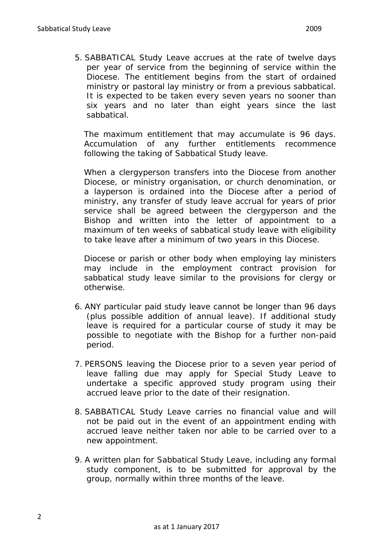5. SABBATICAL Study Leave accrues at the rate of twelve days per year of service from the beginning of service within the Diocese. The entitlement begins from the start of ordained ministry or pastoral lay ministry or from a previous sabbatical. It is expected to be taken every seven years no sooner than six years and no later than eight years since the last sabbatical.

The maximum entitlement that may accumulate is 96 days. Accumulation of any further entitlements recommence following the taking of Sabbatical Study leave.

When a clergyperson transfers into the Diocese from another Diocese, or ministry organisation, or church denomination, or a layperson is ordained into the Diocese after a period of ministry, any transfer of study leave accrual for years of prior service shall be agreed between the clergyperson and the Bishop and written into the letter of appointment to a maximum of ten weeks of sabbatical study leave with eligibility to take leave after a minimum of two years in this Diocese.

Diocese or parish or other body when employing lay ministers may include in the employment contract provision for sabbatical study leave similar to the provisions for clergy or otherwise.

- 6. ANY particular paid study leave cannot be longer than 96 days (plus possible addition of annual leave). If additional study leave is required for a particular course of study it may be possible to negotiate with the Bishop for a further non-paid period.
- 7. PERSONS leaving the Diocese prior to a seven year period of leave falling due may apply for Special Study Leave to undertake a specific approved study program using their accrued leave prior to the date of their resignation.
- 8. SABBATICAL Study Leave carries no financial value and will not be paid out in the event of an appointment ending with accrued leave neither taken nor able to be carried over to a new appointment.
- 9. A written plan for Sabbatical Study Leave, including any formal study component, is to be submitted for approval by the group, normally within three months of the leave.